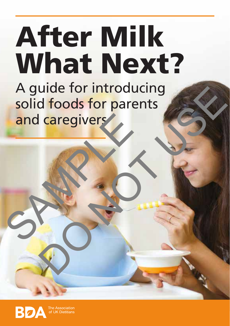## A guide for introducing After Milk What Next?

solid foods for parents and caregivers and caregivers d foods for parents

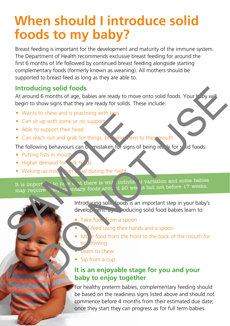### **When should I introduce solid foods to my baby?**

Breast feeding is important for the development and maturity of the immune system. The Department of Health recommends exclusive breast feeding for around the first 6 months of life followed by continued breast feeding alongside starting complementary foods (formerly known as weaning). All mothers should be supported to breast feed as long as they are able to.

#### **Introducing solid foods**

At around 6 months of age, babies are ready to move onto solid foods. Your baby will begin to show signs that they are ready for solids. These include: Contrast of the mouth of the state of the mouth of the mouth of the mouth of the mouth of the mouth of the state of the state of the state of the state of the state of the state of the state of the state of the state of th

- Wants to chew and is practising with toys
- Can sit up with some or no support
- Able to support their head
- Can reach out and grab for things, by string them to their mouth

The following behaviours can be mistaken for signs of being ready for solid foods:

- Putting fists in mouth
- Higher demand for silk feeds
- Waking up more hand validuring the night

It is import to note  $\lambda$  at there is wide individual variation and some babies may require  $n_k$  on entary foods around 20 weeks but not before 17 weeks. Solution of the text of things, by the text of the text of the text of the text of the following behaviours can be mistaken for signs of behaviours can be mistaken for signs of behaviours can be mistaken for signs of behav

Introducing solly foods is an important step in your baby's development. By inducing solid food babies learn to:

• Take food from a spoon

- **F**-feed using their hands and a spoon
- Move food from the front to the back of the mouth for sw<sub>allowing</sub>
- **Learn to chew**
- Sip from a cup

#### **It is an enjoyable stage for you and your baby to enjoy together**

For healthy preterm babies, complementary feeding should be based on the readiness signs listed above and should not commence before 4 months from their estimated due date; once they start they can progress as for full term babies.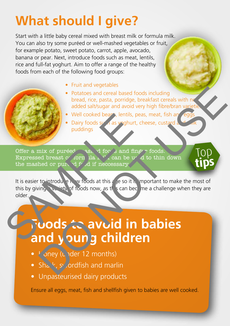## **What should I give?**

Start with a little baby cereal mixed with breast milk or formula milk. You can also try some puréed or well-mashed vegetables or fruit, for example potato, sweet potato, carrot, apple, avocado, banana or pear. Next, introduce foods such as meat, lentils, rice and full-fat yoghurt. Aim to offer a range of the healthy foods from each of the following food groups:

- Fruit and vegetables
- Potatoes and cereal based foods including bread, rice, pasta, porridge, breakfast cereals with no added salt/sugar and avoid very high fibre/bran varieti
	- Well cooked beans, lentils, peas, meat, fish and eggs
- Dairy foods such as yoghurt, cheese, custard puddings

**s**

Offer a mix of puréed, and foods and finger foods. Expressed breast  $\sigma$  formula  $\frac{1}{k}$  can be used to thin down the mashed or pure del  $f$  of if neccessary.

It is easier to introduce new foods at this age so it is important to make the most of this by giving wa jety of foods now, as this can become a challenge when they are older.

# **Foods to avoid in babies and young children** Well cooked bear, lentils, peas,<br>
Dairy foods systems vighurt, che<br>
puddings<br>
Offer a mix of puréed<br>
Expressed breast or form that the core and fingery<br>
Expressed breast or form that the coessary<br>
It is easier to introduce Potatoes and ceral based foods including<br>
bread, rice, pasta, porridge, breakfast cereals with necessary<br>
well cooked bear, lentils, peas, meat, fish and english<br>
Darly foods stars weghurt, cheese, custard<br>
puddings<br>
bread

- Money (under 12 months)
- Shark, sy ordfish and marlin
- Unpasteurised dairy products

Ensure all eggs, meat, fish and shellfish given to babies are well cooked.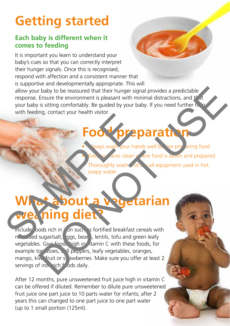## **Getting started**

#### **Each baby is different when it comes to feeding**

It is important you learn to understand your baby's cues so that you can correctly interpret their hunger signals. Once this is recognised, respond with affection and a consistent manner that is supportive and developmentally appropriate. This will allow your baby to be reassured that their hunger signal provides a predictable response. Ensure the environment is pleasant with minimal distractions, and  $t'$  at your baby is sitting comfortably. Be guided by your baby. If you need further help with feeding, contact your health visitor.

## **Food preparation**

ways wash your hands well before preparing food Figure aces clean where food is eaten and prepared Thoroughly wash and dry all equipment used in hot soapy water

## **What about a vegetarian** weaning diet Foot prep.

Include oods rich in it on such as fortified breakfast cereals with no added sugar/salt, eggs, beans, lentils, tofu and green leafy vegetables. Give foods high in vitamin C with these foods, for example tor atoes, bull peppers, leafy vegetables, oranges, mango, kiw fruit or strawberries. Make sure you offer at least 2 servings of iron rich foods daily. The thermatic property of the state of the state of the state of the state of the state of the state of the state of the state of the state of the state of the state of the state of the state of the state of the state of t

After 12 months, pure unsweetened fruit juice high in vitamin C can be offered if diluted. Remember to dilute pure unsweetened fruit juice one part juice to 10 parts water for infants; after 2 years this can changed to one part juice to one part water (up to 1 small portion (125ml).